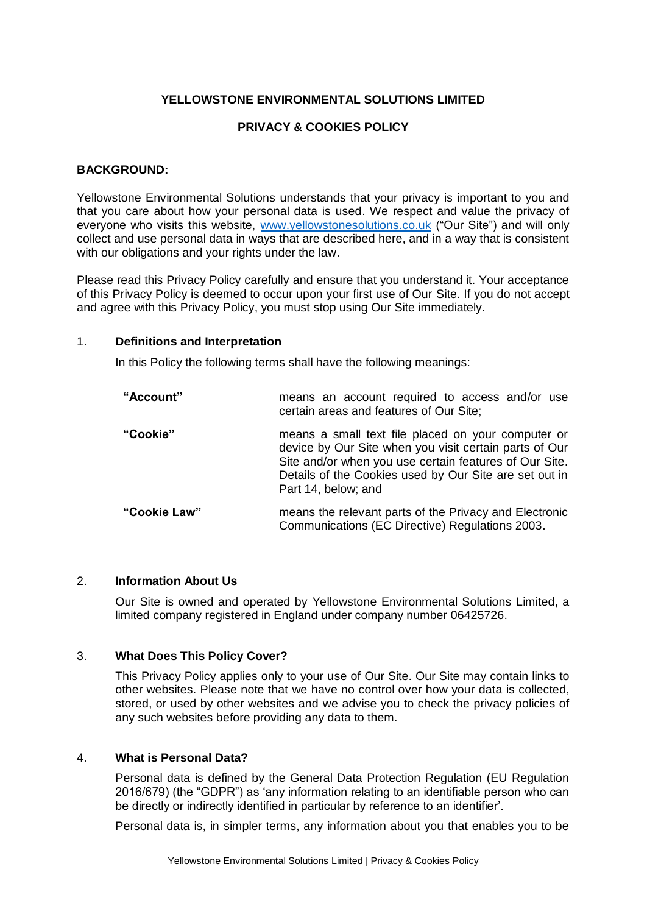# **YELLOWSTONE ENVIRONMENTAL SOLUTIONS LIMITED**

## **PRIVACY & COOKIES POLICY**

#### **BACKGROUND:**

Yellowstone Environmental Solutions understands that your privacy is important to you and that you care about how your personal data is used. We respect and value the privacy of everyone who visits this website, [www.yellowstonesolutions.co.uk](http://www.monitorpestcontrol.co.uk/) ("Our Site") and will only collect and use personal data in ways that are described here, and in a way that is consistent with our obligations and your rights under the law.

Please read this Privacy Policy carefully and ensure that you understand it. Your acceptance of this Privacy Policy is deemed to occur upon your first use of Our Site. If you do not accept and agree with this Privacy Policy, you must stop using Our Site immediately.

### 1. **Definitions and Interpretation**

In this Policy the following terms shall have the following meanings:

| "Account"    | means an account required to access and/or use<br>certain areas and features of Our Site;                                                                                                                                                               |
|--------------|---------------------------------------------------------------------------------------------------------------------------------------------------------------------------------------------------------------------------------------------------------|
| "Cookie"     | means a small text file placed on your computer or<br>device by Our Site when you visit certain parts of Our<br>Site and/or when you use certain features of Our Site.<br>Details of the Cookies used by Our Site are set out in<br>Part 14, below; and |
| "Cookie Law" | means the relevant parts of the Privacy and Electronic<br>Communications (EC Directive) Regulations 2003.                                                                                                                                               |

## 2. **Information About Us**

Our Site is owned and operated by Yellowstone Environmental Solutions Limited, a limited company registered in England under company number 06425726.

## 3. **What Does This Policy Cover?**

This Privacy Policy applies only to your use of Our Site. Our Site may contain links to other websites. Please note that we have no control over how your data is collected, stored, or used by other websites and we advise you to check the privacy policies of any such websites before providing any data to them.

## 4. **What is Personal Data?**

Personal data is defined by the General Data Protection Regulation (EU Regulation 2016/679) (the "GDPR") as 'any information relating to an identifiable person who can be directly or indirectly identified in particular by reference to an identifier'.

Personal data is, in simpler terms, any information about you that enables you to be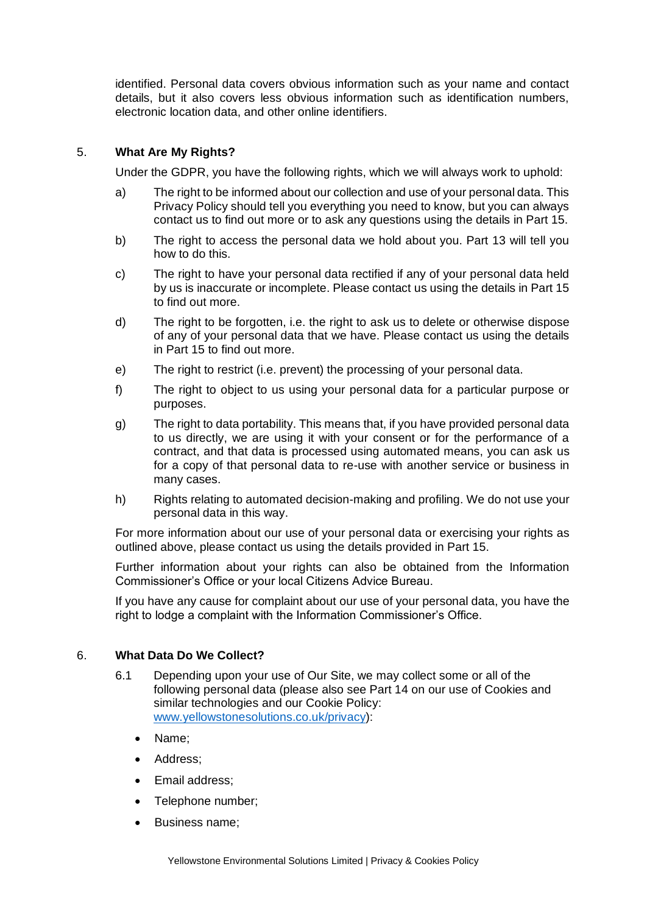identified. Personal data covers obvious information such as your name and contact details, but it also covers less obvious information such as identification numbers, electronic location data, and other online identifiers.

## 5. **What Are My Rights?**

Under the GDPR, you have the following rights, which we will always work to uphold:

- a) The right to be informed about our collection and use of your personal data. This Privacy Policy should tell you everything you need to know, but you can always contact us to find out more or to ask any questions using the details in Part 15.
- b) The right to access the personal data we hold about you. Part 13 will tell you how to do this.
- c) The right to have your personal data rectified if any of your personal data held by us is inaccurate or incomplete. Please contact us using the details in Part 15 to find out more.
- d) The right to be forgotten, i.e. the right to ask us to delete or otherwise dispose of any of your personal data that we have. Please contact us using the details in Part 15 to find out more.
- e) The right to restrict (i.e. prevent) the processing of your personal data.
- f) The right to object to us using your personal data for a particular purpose or purposes.
- g) The right to data portability. This means that, if you have provided personal data to us directly, we are using it with your consent or for the performance of a contract, and that data is processed using automated means, you can ask us for a copy of that personal data to re-use with another service or business in many cases.
- h) Rights relating to automated decision-making and profiling. We do not use your personal data in this way.

For more information about our use of your personal data or exercising your rights as outlined above, please contact us using the details provided in Part 15.

Further information about your rights can also be obtained from the Information Commissioner's Office or your local Citizens Advice Bureau.

If you have any cause for complaint about our use of your personal data, you have the right to lodge a complaint with the Information Commissioner's Office.

#### 6. **What Data Do We Collect?**

- 6.1 Depending upon your use of Our Site, we may collect some or all of the following personal data (please also see Part 14 on our use of Cookies and similar technologies and our Cookie Policy: [www.yellowstonesolutions.co.uk/privacy\)](http://www.monitorpestcontrol.co.uk/privacy):
	- Name;
	- Address:
	- Email address;
	- Telephone number;
	- Business name;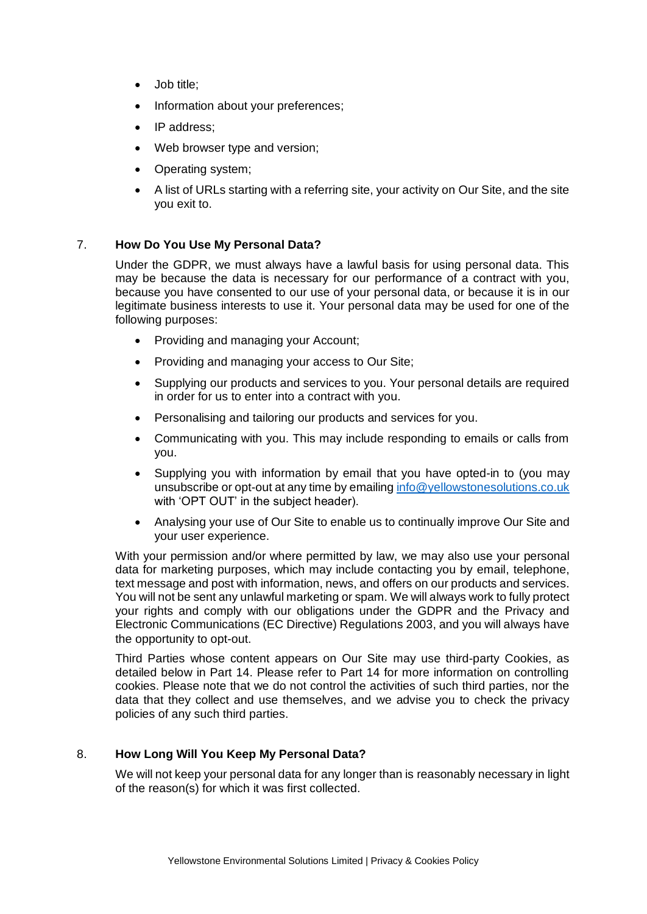- Job title;
- Information about your preferences;
- IP address:
- Web browser type and version;
- Operating system;
- A list of URLs starting with a referring site, your activity on Our Site, and the site you exit to.

### 7. **How Do You Use My Personal Data?**

Under the GDPR, we must always have a lawful basis for using personal data. This may be because the data is necessary for our performance of a contract with you, because you have consented to our use of your personal data, or because it is in our legitimate business interests to use it. Your personal data may be used for one of the following purposes:

- Providing and managing your Account;
- Providing and managing your access to Our Site;
- Supplying our products and services to you. Your personal details are required in order for us to enter into a contract with you.
- Personalising and tailoring our products and services for you.
- Communicating with you. This may include responding to emails or calls from you.
- Supplying you with information by email that you have opted-in to (you may unsubscribe or opt-out at any time by emailing [info@yellowstonesolutions.co.uk](mailto:info@yellowstonesolutions.co.uk) with 'OPT OUT' in the subject header).
- Analysing your use of Our Site to enable us to continually improve Our Site and your user experience.

With your permission and/or where permitted by law, we may also use your personal data for marketing purposes, which may include contacting you by email, telephone, text message and post with information, news, and offers on our products and services. You will not be sent any unlawful marketing or spam. We will always work to fully protect your rights and comply with our obligations under the GDPR and the Privacy and Electronic Communications (EC Directive) Regulations 2003, and you will always have the opportunity to opt-out.

Third Parties whose content appears on Our Site may use third-party Cookies, as detailed below in Part 14. Please refer to Part 14 for more information on controlling cookies. Please note that we do not control the activities of such third parties, nor the data that they collect and use themselves, and we advise you to check the privacy policies of any such third parties.

# 8. **How Long Will You Keep My Personal Data?**

We will not keep your personal data for any longer than is reasonably necessary in light of the reason(s) for which it was first collected.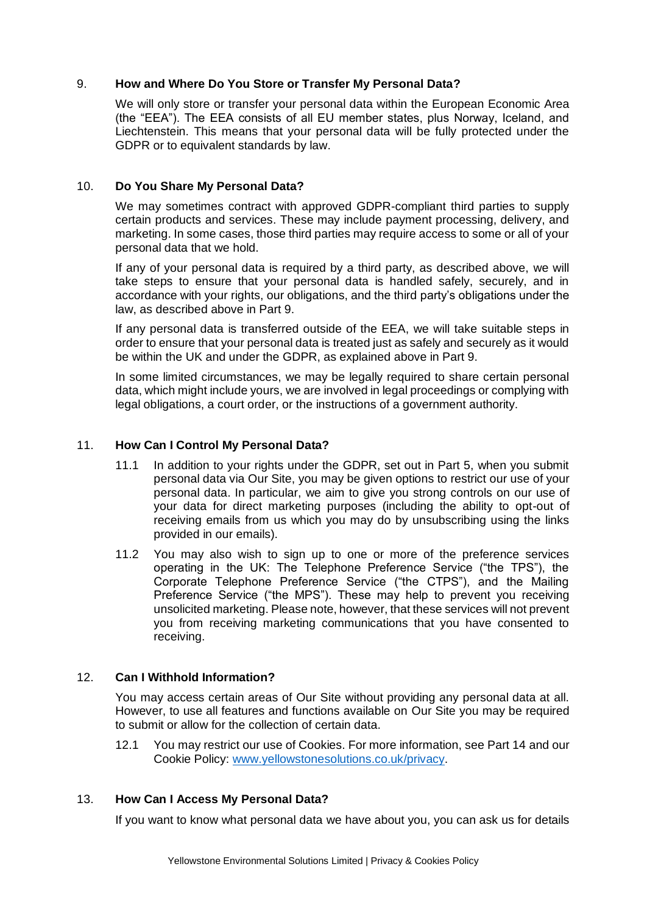## 9. **How and Where Do You Store or Transfer My Personal Data?**

We will only store or transfer your personal data within the European Economic Area (the "EEA"). The EEA consists of all EU member states, plus Norway, Iceland, and Liechtenstein. This means that your personal data will be fully protected under the GDPR or to equivalent standards by law.

### 10. **Do You Share My Personal Data?**

We may sometimes contract with approved GDPR-compliant third parties to supply certain products and services. These may include payment processing, delivery, and marketing. In some cases, those third parties may require access to some or all of your personal data that we hold.

If any of your personal data is required by a third party, as described above, we will take steps to ensure that your personal data is handled safely, securely, and in accordance with your rights, our obligations, and the third party's obligations under the law, as described above in Part 9.

If any personal data is transferred outside of the EEA, we will take suitable steps in order to ensure that your personal data is treated just as safely and securely as it would be within the UK and under the GDPR, as explained above in Part 9.

In some limited circumstances, we may be legally required to share certain personal data, which might include yours, we are involved in legal proceedings or complying with legal obligations, a court order, or the instructions of a government authority.

### 11. **How Can I Control My Personal Data?**

- 11.1 In addition to your rights under the GDPR, set out in Part 5, when you submit personal data via Our Site, you may be given options to restrict our use of your personal data. In particular, we aim to give you strong controls on our use of your data for direct marketing purposes (including the ability to opt-out of receiving emails from us which you may do by unsubscribing using the links provided in our emails).
- 11.2 You may also wish to sign up to one or more of the preference services operating in the UK: The Telephone Preference Service ("the TPS"), the Corporate Telephone Preference Service ("the CTPS"), and the Mailing Preference Service ("the MPS"). These may help to prevent you receiving unsolicited marketing. Please note, however, that these services will not prevent you from receiving marketing communications that you have consented to receiving.

#### 12. **Can I Withhold Information?**

You may access certain areas of Our Site without providing any personal data at all. However, to use all features and functions available on Our Site you may be required to submit or allow for the collection of certain data.

12.1 You may restrict our use of Cookies. For more information, see Part 14 and our Cookie Policy: [www.yellowstonesolutions.co.uk/privacy.](http://www.monitorpestcontrol.co.uk/privacy)

### 13. **How Can I Access My Personal Data?**

If you want to know what personal data we have about you, you can ask us for details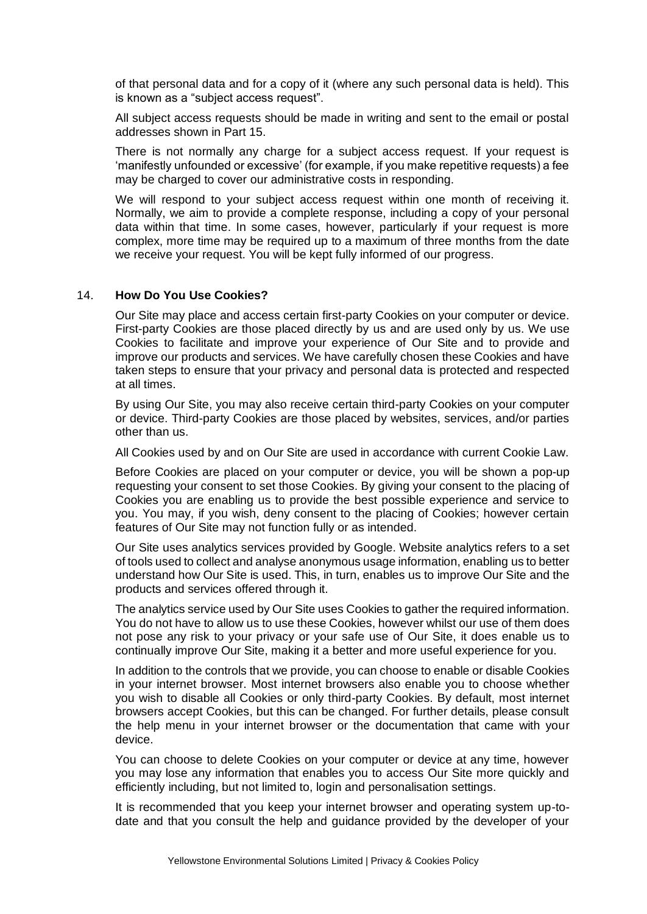of that personal data and for a copy of it (where any such personal data is held). This is known as a "subject access request".

All subject access requests should be made in writing and sent to the email or postal addresses shown in Part 15.

There is not normally any charge for a subject access request. If your request is 'manifestly unfounded or excessive' (for example, if you make repetitive requests) a fee may be charged to cover our administrative costs in responding.

We will respond to your subject access request within one month of receiving it. Normally, we aim to provide a complete response, including a copy of your personal data within that time. In some cases, however, particularly if your request is more complex, more time may be required up to a maximum of three months from the date we receive your request. You will be kept fully informed of our progress.

### 14. **How Do You Use Cookies?**

Our Site may place and access certain first-party Cookies on your computer or device. First-party Cookies are those placed directly by us and are used only by us. We use Cookies to facilitate and improve your experience of Our Site and to provide and improve our products and services. We have carefully chosen these Cookies and have taken steps to ensure that your privacy and personal data is protected and respected at all times.

By using Our Site, you may also receive certain third-party Cookies on your computer or device. Third-party Cookies are those placed by websites, services, and/or parties other than us.

All Cookies used by and on Our Site are used in accordance with current Cookie Law.

Before Cookies are placed on your computer or device, you will be shown a pop-up requesting your consent to set those Cookies. By giving your consent to the placing of Cookies you are enabling us to provide the best possible experience and service to you. You may, if you wish, deny consent to the placing of Cookies; however certain features of Our Site may not function fully or as intended.

Our Site uses analytics services provided by Google. Website analytics refers to a set of tools used to collect and analyse anonymous usage information, enabling us to better understand how Our Site is used. This, in turn, enables us to improve Our Site and the products and services offered through it.

The analytics service used by Our Site uses Cookies to gather the required information. You do not have to allow us to use these Cookies, however whilst our use of them does not pose any risk to your privacy or your safe use of Our Site, it does enable us to continually improve Our Site, making it a better and more useful experience for you.

In addition to the controls that we provide, you can choose to enable or disable Cookies in your internet browser. Most internet browsers also enable you to choose whether you wish to disable all Cookies or only third-party Cookies. By default, most internet browsers accept Cookies, but this can be changed. For further details, please consult the help menu in your internet browser or the documentation that came with your device.

You can choose to delete Cookies on your computer or device at any time, however you may lose any information that enables you to access Our Site more quickly and efficiently including, but not limited to, login and personalisation settings.

It is recommended that you keep your internet browser and operating system up-todate and that you consult the help and guidance provided by the developer of your